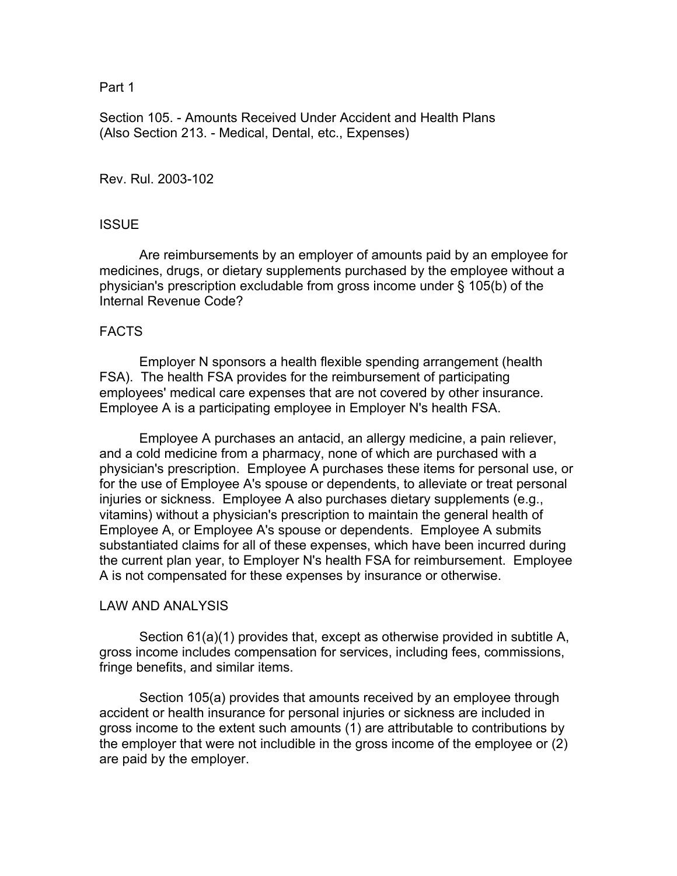#### Part 1

Section 105. - Amounts Received Under Accident and Health Plans (Also Section 213. - Medical, Dental, etc., Expenses)

Rev. Rul. 2003-102

# **ISSUE**

 Are reimbursements by an employer of amounts paid by an employee for medicines, drugs, or dietary supplements purchased by the employee without a physician's prescription excludable from gross income under § 105(b) of the Internal Revenue Code?

### FACTS

 Employer N sponsors a health flexible spending arrangement (health FSA). The health FSA provides for the reimbursement of participating employees' medical care expenses that are not covered by other insurance. Employee A is a participating employee in Employer N's health FSA.

 Employee A purchases an antacid, an allergy medicine, a pain reliever, and a cold medicine from a pharmacy, none of which are purchased with a physician's prescription. Employee A purchases these items for personal use, or for the use of Employee A's spouse or dependents, to alleviate or treat personal injuries or sickness. Employee A also purchases dietary supplements (e.g., vitamins) without a physician's prescription to maintain the general health of Employee A, or Employee A's spouse or dependents. Employee A submits substantiated claims for all of these expenses, which have been incurred during the current plan year, to Employer N's health FSA for reimbursement. Employee A is not compensated for these expenses by insurance or otherwise.

### LAW AND ANALYSIS

 Section 61(a)(1) provides that, except as otherwise provided in subtitle A, gross income includes compensation for services, including fees, commissions, fringe benefits, and similar items.

 Section 105(a) provides that amounts received by an employee through accident or health insurance for personal injuries or sickness are included in gross income to the extent such amounts (1) are attributable to contributions by the employer that were not includible in the gross income of the employee or (2) are paid by the employer.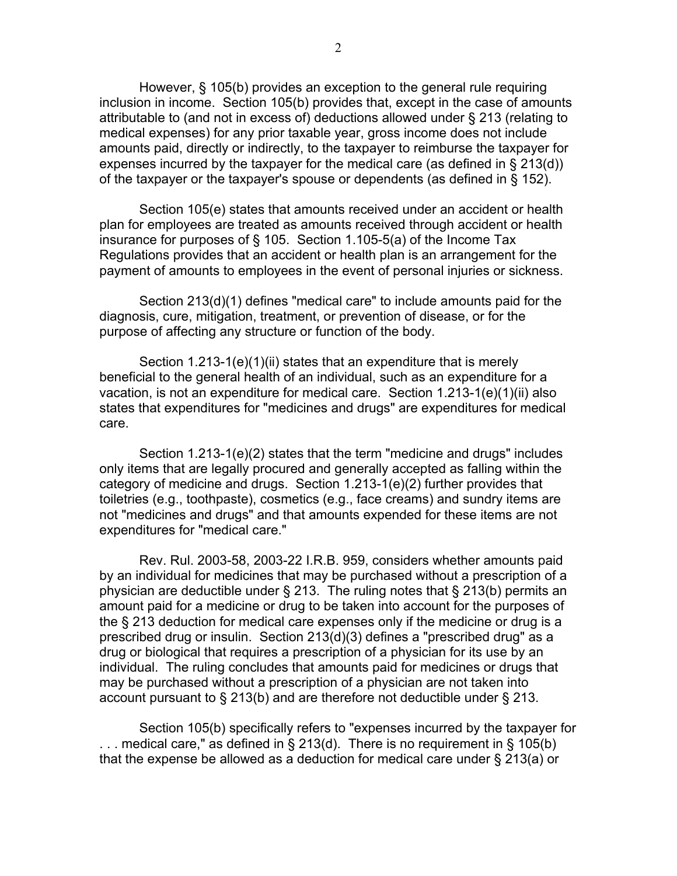However, § 105(b) provides an exception to the general rule requiring inclusion in income. Section 105(b) provides that, except in the case of amounts attributable to (and not in excess of) deductions allowed under § 213 (relating to medical expenses) for any prior taxable year, gross income does not include amounts paid, directly or indirectly, to the taxpayer to reimburse the taxpayer for expenses incurred by the taxpayer for the medical care (as defined in § 213(d)) of the taxpayer or the taxpayer's spouse or dependents (as defined in § 152).

 Section 105(e) states that amounts received under an accident or health plan for employees are treated as amounts received through accident or health insurance for purposes of § 105. Section 1.105-5(a) of the Income Tax Regulations provides that an accident or health plan is an arrangement for the payment of amounts to employees in the event of personal injuries or sickness.

 Section 213(d)(1) defines "medical care" to include amounts paid for the diagnosis, cure, mitigation, treatment, or prevention of disease, or for the purpose of affecting any structure or function of the body.

 Section 1.213-1(e)(1)(ii) states that an expenditure that is merely beneficial to the general health of an individual, such as an expenditure for a vacation, is not an expenditure for medical care. Section 1.213-1(e)(1)(ii) also states that expenditures for "medicines and drugs" are expenditures for medical care.

 Section 1.213-1(e)(2) states that the term "medicine and drugs" includes only items that are legally procured and generally accepted as falling within the category of medicine and drugs. Section 1.213-1(e)(2) further provides that toiletries (e.g., toothpaste), cosmetics (e.g., face creams) and sundry items are not "medicines and drugs" and that amounts expended for these items are not expenditures for "medical care."

 Rev. Rul. 2003-58, 2003-22 I.R.B. 959, considers whether amounts paid by an individual for medicines that may be purchased without a prescription of a physician are deductible under § 213. The ruling notes that § 213(b) permits an amount paid for a medicine or drug to be taken into account for the purposes of the § 213 deduction for medical care expenses only if the medicine or drug is a prescribed drug or insulin. Section 213(d)(3) defines a "prescribed drug" as a drug or biological that requires a prescription of a physician for its use by an individual. The ruling concludes that amounts paid for medicines or drugs that may be purchased without a prescription of a physician are not taken into account pursuant to § 213(b) and are therefore not deductible under § 213.

 Section 105(b) specifically refers to "expenses incurred by the taxpayer for ... medical care," as defined in § 213(d). There is no requirement in § 105(b) that the expense be allowed as a deduction for medical care under § 213(a) or